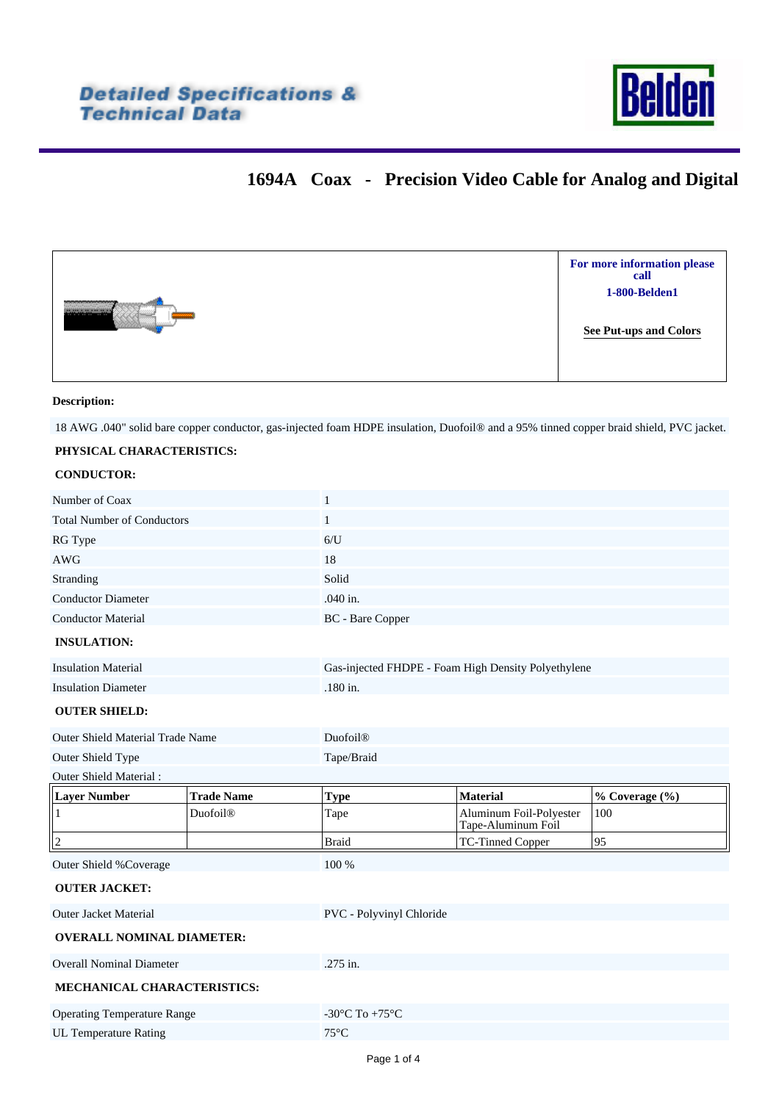

## **1694A Coax - Precision Video Cable for Analog and Digital**

|    | For more information please<br>call |
|----|-------------------------------------|
|    | 1-800-Belden1                       |
| -- | <b>See Put-ups and Colors</b>       |

### **Description:**

18 AWG .040" solid bare copper conductor, gas-injected foam HDPE insulation, Duofoil® and a 95% tinned copper braid shield, PVC jacket.

### **PHYSICAL CHARACTERISTICS:**

#### **CONDUCTOR:**

| Number of Coax                          |                   | $\mathbf{1}$                                         |                                               |                |  |  |  |
|-----------------------------------------|-------------------|------------------------------------------------------|-----------------------------------------------|----------------|--|--|--|
| <b>Total Number of Conductors</b>       |                   | $\mathbf{1}$                                         |                                               |                |  |  |  |
| RG Type                                 |                   | 6/U                                                  |                                               |                |  |  |  |
| <b>AWG</b>                              |                   | 18                                                   |                                               |                |  |  |  |
| Stranding                               |                   | Solid                                                |                                               |                |  |  |  |
| <b>Conductor Diameter</b>               |                   | .040 in.                                             |                                               |                |  |  |  |
| <b>Conductor Material</b>               |                   | BC - Bare Copper                                     |                                               |                |  |  |  |
| <b>INSULATION:</b>                      |                   |                                                      |                                               |                |  |  |  |
| <b>Insulation Material</b>              |                   | Gas-injected FHDPE - Foam High Density Polyethylene  |                                               |                |  |  |  |
| <b>Insulation Diameter</b>              |                   | .180 in.                                             |                                               |                |  |  |  |
| <b>OUTER SHIELD:</b>                    |                   |                                                      |                                               |                |  |  |  |
| <b>Outer Shield Material Trade Name</b> |                   | Duofoil®                                             |                                               |                |  |  |  |
| Outer Shield Type                       |                   | Tape/Braid                                           |                                               |                |  |  |  |
| Outer Shield Material:                  |                   |                                                      |                                               |                |  |  |  |
| <b>Layer Number</b>                     | <b>Trade Name</b> | <b>Type</b>                                          | <b>Material</b>                               | % Coverage (%) |  |  |  |
| $\mathbf{1}$                            | <b>Duofoil®</b>   | Tape                                                 | Aluminum Foil-Polyester<br>Tape-Aluminum Foil | 100            |  |  |  |
| $\overline{2}$                          |                   | <b>Braid</b>                                         | TC-Tinned Copper                              | 95             |  |  |  |
| Outer Shield %Coverage                  |                   | 100 %                                                |                                               |                |  |  |  |
| <b>OUTER JACKET:</b>                    |                   |                                                      |                                               |                |  |  |  |
| <b>Outer Jacket Material</b>            |                   | PVC - Polyvinyl Chloride                             |                                               |                |  |  |  |
| <b>OVERALL NOMINAL DIAMETER:</b>        |                   |                                                      |                                               |                |  |  |  |
| <b>Overall Nominal Diameter</b>         |                   | .275 in.                                             |                                               |                |  |  |  |
| MECHANICAL CHARACTERISTICS:             |                   |                                                      |                                               |                |  |  |  |
| <b>Operating Temperature Range</b>      |                   | -30 $\mathrm{^{\circ}C}$ To +75 $\mathrm{^{\circ}C}$ |                                               |                |  |  |  |
| <b>UL Temperature Rating</b>            |                   | $75^{\circ}$ C                                       |                                               |                |  |  |  |
|                                         |                   |                                                      |                                               |                |  |  |  |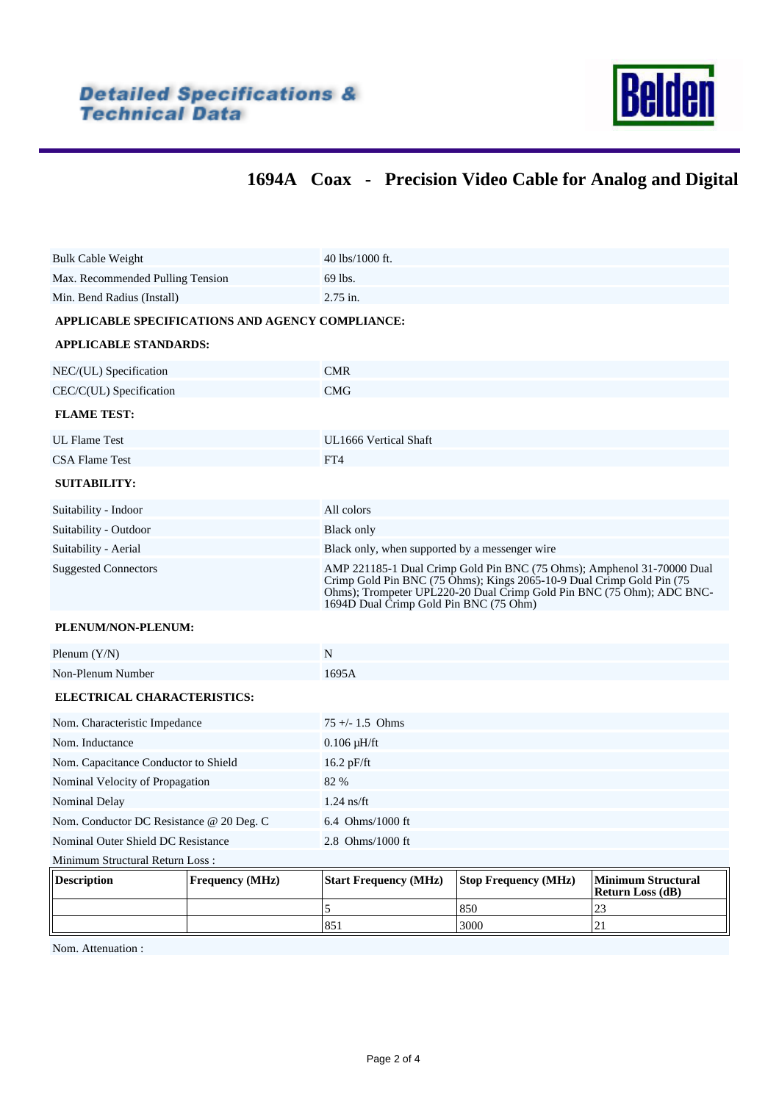

# **1694A Coax - Precision Video Cable for Analog and Digital**

|                                                  |                        | 5<br>851                                                                                                                                                                                                                                                           | 850<br>3000                 | 23<br>21                                             |  |  |
|--------------------------------------------------|------------------------|--------------------------------------------------------------------------------------------------------------------------------------------------------------------------------------------------------------------------------------------------------------------|-----------------------------|------------------------------------------------------|--|--|
| <b>Description</b>                               | <b>Frequency (MHz)</b> | <b>Start Frequency (MHz)</b>                                                                                                                                                                                                                                       | <b>Stop Frequency (MHz)</b> | <b>Minimum Structural</b><br><b>Return Loss (dB)</b> |  |  |
| Minimum Structural Return Loss:                  |                        |                                                                                                                                                                                                                                                                    |                             |                                                      |  |  |
| Nominal Outer Shield DC Resistance               |                        | 2.8 Ohms/1000 ft                                                                                                                                                                                                                                                   |                             |                                                      |  |  |
| Nom. Conductor DC Resistance @ 20 Deg. C         |                        | $6.4$ Ohms/1000 ft                                                                                                                                                                                                                                                 |                             |                                                      |  |  |
| Nominal Delay                                    |                        | $1.24$ ns/ft                                                                                                                                                                                                                                                       |                             |                                                      |  |  |
| Nominal Velocity of Propagation                  |                        | 82 %                                                                                                                                                                                                                                                               |                             |                                                      |  |  |
| Nom. Capacitance Conductor to Shield             |                        | $16.2$ pF/ft                                                                                                                                                                                                                                                       |                             |                                                      |  |  |
| Nom. Inductance                                  |                        | $0.106$ $\mu$ H/ft                                                                                                                                                                                                                                                 |                             |                                                      |  |  |
| Nom. Characteristic Impedance                    |                        | $75 +/- 1.5$ Ohms                                                                                                                                                                                                                                                  |                             |                                                      |  |  |
| ELECTRICAL CHARACTERISTICS:                      |                        |                                                                                                                                                                                                                                                                    |                             |                                                      |  |  |
| Non-Plenum Number                                |                        | 1695A                                                                                                                                                                                                                                                              |                             |                                                      |  |  |
| Plenum $(Y/N)$                                   |                        | $\mathbf N$                                                                                                                                                                                                                                                        |                             |                                                      |  |  |
| PLENUM/NON-PLENUM:                               |                        |                                                                                                                                                                                                                                                                    |                             |                                                      |  |  |
| <b>Suggested Connectors</b>                      |                        | AMP 221185-1 Dual Crimp Gold Pin BNC (75 Ohms); Amphenol 31-70000 Dual<br>Crimp Gold Pin BNC (75 Ohms); Kings 2065-10-9 Dual Crimp Gold Pin (75<br>Ohms); Trompeter UPL220-20 Dual Crimp Gold Pin BNC (75 Ohm); ADC BNC-<br>1694D Dual Crimp Gold Pin BNC (75 Ohm) |                             |                                                      |  |  |
| Suitability - Aerial                             |                        | Black only, when supported by a messenger wire                                                                                                                                                                                                                     |                             |                                                      |  |  |
| Suitability - Outdoor                            |                        | <b>Black only</b>                                                                                                                                                                                                                                                  |                             |                                                      |  |  |
| Suitability - Indoor                             |                        | All colors                                                                                                                                                                                                                                                         |                             |                                                      |  |  |
| <b>SUITABILITY:</b>                              |                        |                                                                                                                                                                                                                                                                    |                             |                                                      |  |  |
| <b>CSA Flame Test</b>                            |                        | FT4                                                                                                                                                                                                                                                                |                             |                                                      |  |  |
| <b>UL Flame Test</b>                             |                        | UL1666 Vertical Shaft                                                                                                                                                                                                                                              |                             |                                                      |  |  |
| <b>FLAME TEST:</b>                               |                        |                                                                                                                                                                                                                                                                    |                             |                                                      |  |  |
| CEC/C(UL) Specification                          |                        | <b>CMG</b>                                                                                                                                                                                                                                                         |                             |                                                      |  |  |
| NEC/(UL) Specification                           |                        | <b>CMR</b>                                                                                                                                                                                                                                                         |                             |                                                      |  |  |
| <b>APPLICABLE STANDARDS:</b>                     |                        |                                                                                                                                                                                                                                                                    |                             |                                                      |  |  |
| APPLICABLE SPECIFICATIONS AND AGENCY COMPLIANCE: |                        |                                                                                                                                                                                                                                                                    |                             |                                                      |  |  |
| Min. Bend Radius (Install)<br>2.75 in.           |                        |                                                                                                                                                                                                                                                                    |                             |                                                      |  |  |
| Max. Recommended Pulling Tension                 |                        | 69 lbs.                                                                                                                                                                                                                                                            |                             |                                                      |  |  |
| <b>Bulk Cable Weight</b>                         |                        | 40 lbs/1000 ft.                                                                                                                                                                                                                                                    |                             |                                                      |  |  |
|                                                  |                        |                                                                                                                                                                                                                                                                    |                             |                                                      |  |  |

Nom. Attenuation :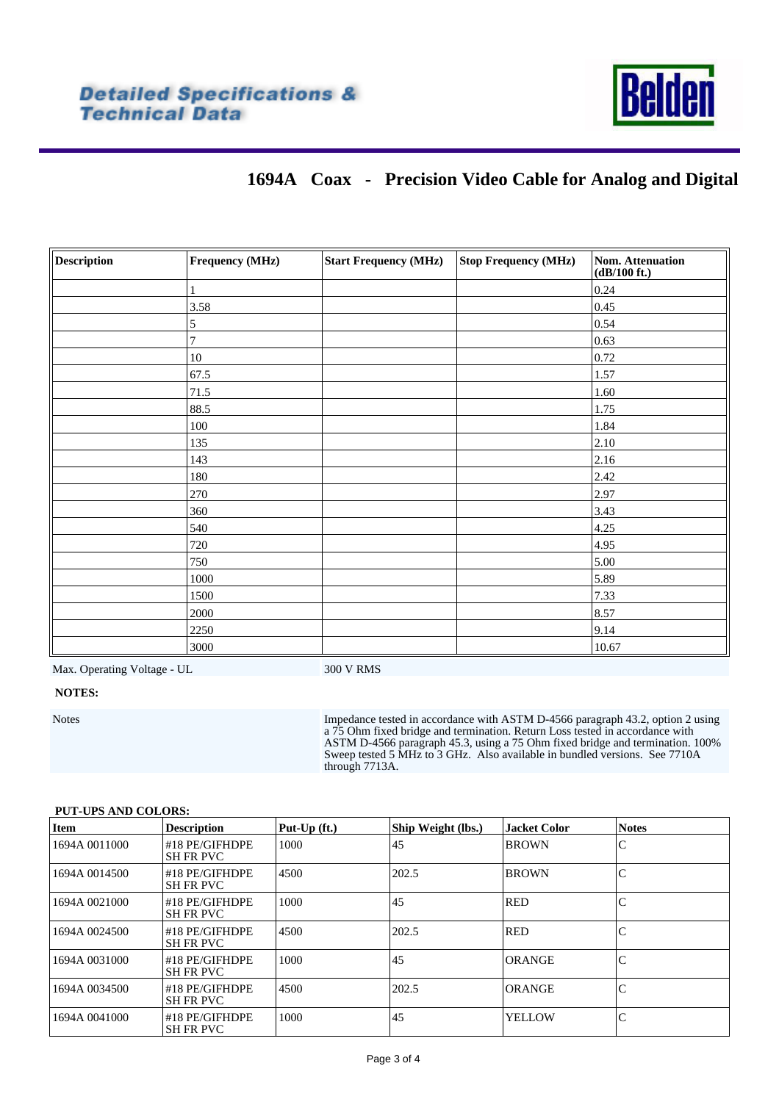

## **1694A Coax - Precision Video Cable for Analog and Digital**

| <b>Description</b> | Frequency (MHz) | <b>Start Frequency (MHz)</b> | <b>Stop Frequency (MHz)</b> | <b>Nom. Attenuation</b><br>(dB/100 ft.) |
|--------------------|-----------------|------------------------------|-----------------------------|-----------------------------------------|
|                    |                 |                              |                             | 0.24                                    |
|                    | 3.58            |                              |                             | 0.45                                    |
|                    | 5               |                              |                             | 0.54                                    |
|                    | 7               |                              |                             | 0.63                                    |
|                    | $10\,$          |                              |                             | 0.72                                    |
|                    | 67.5            |                              |                             | 1.57                                    |
|                    | 71.5            |                              |                             | 1.60                                    |
|                    | 88.5            |                              |                             | 1.75                                    |
|                    | 100             |                              |                             | 1.84                                    |
|                    | 135             |                              |                             | 2.10                                    |
|                    | 143             |                              |                             | 2.16                                    |
|                    | 180             |                              |                             | 2.42                                    |
|                    | 270             |                              |                             | 2.97                                    |
|                    | 360             |                              |                             | 3.43                                    |
|                    | 540             |                              |                             | 4.25                                    |
|                    | 720             |                              |                             | 4.95                                    |
|                    | 750             |                              |                             | 5.00                                    |
|                    | 1000            |                              |                             | 5.89                                    |
|                    | 1500            |                              |                             | 7.33                                    |
|                    | 2000            |                              |                             | 8.57                                    |
|                    | 2250            |                              |                             | 9.14                                    |
|                    | 3000            |                              |                             | 10.67                                   |

Max. Operating Voltage - UL 300 V RMS

### **NOTES:**

Notes Impedance tested in accordance with ASTM D-4566 paragraph 43.2, option 2 using a 75 Ohm fixed bridge and termination. Return Loss tested in accordance with ASTM D-4566 paragraph 45.3, using a 75 Ohm fixed bridge and termination. 100% Sweep tested 5 MHz to 3 GHz. Also available in bundled versions. See 7710A through 7713A.

### <span id="page-2-0"></span>**PUT-UPS AND COLORS:**

| Item          | <b>Description</b>                 | Put-Up (ft.) | Ship Weight (lbs.) | <b>Llacket Color</b> | <b>Notes</b> |
|---------------|------------------------------------|--------------|--------------------|----------------------|--------------|
| 1694A 0011000 | #18 PE/GIFHDPE<br><b>SH FR PVC</b> | 1000         | 45                 | <b>BROWN</b>         | C            |
| 1694A 0014500 | #18 PE/GIFHDPE<br><b>SH FR PVC</b> | 4500         | 202.5              | <b>BROWN</b>         | C            |
| 1694A 0021000 | #18 PE/GIFHDPE<br><b>SH FR PVC</b> | 1000         | 45                 | <b>RED</b>           | C            |
| 1694A 0024500 | #18 PE/GIFHDPE<br><b>SH FR PVC</b> | 4500         | 202.5              | <b>RED</b>           | C            |
| 1694A 0031000 | #18 PE/GIFHDPE<br><b>SH FR PVC</b> | 1000         | 45                 | ORANGE               | C            |
| 1694A 0034500 | #18 PE/GIFHDPE<br><b>SH FR PVC</b> | 4500         | 202.5              | ORANGE               | C            |
| 1694A 0041000 | #18 PE/GIFHDPE<br><b>SH FR PVC</b> | 1000         | 45                 | <b>YELLOW</b>        | C            |